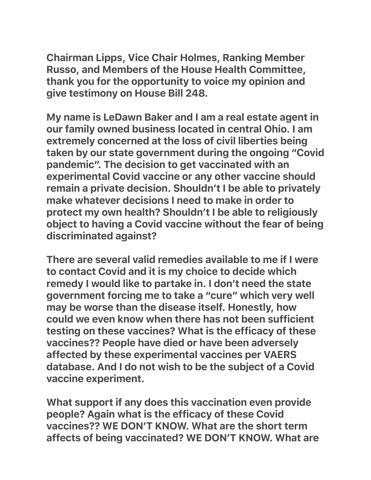Chairman Lipps, Vice Chair Holmes, Ranking Member Russo, and Members of the House Health Committee, thank you for the opportunity to voice my opinion and give testimony on House Bill 248.

My name is LeDawn Baker and I am a real estate agent in our family owned business located in central Ohio. I am extremely concerned at the loss of civil liberties being taken by our state government during the ongoing "Covid pandemic". The decision to get vaccinated with an experimental Covid vaccine or any other vaccine should remain a private decision. Shouldn't I be able to privately make whatever decisions I need to make in order to protect my own health? Shouldn't I be able to religiously object to having a Covid vaccine without the fear of being discriminated against?

There are several valid remedies available to me if I were to contact Covid and it is my choice to decide which remedy I would like to partake in. I don't need the state government forcing me to take a "cure" which very well may be worse than the disease itself. Honestly, how could we even know when there has not been sufficient testing on these vaccines? What is the efficacy of these vaccines?? People have died or have been adversely affected by these experimental vaccines per VAERS database. And I do not wish to be the subject of a Covid vaccine experiment.

What support if any does this vaccination even provide people? Again what is the efficacy of these Covid vaccines?? WE DON'T KNOW. What are the short term affects of being vaccinated? WE DON'T KNOW. What are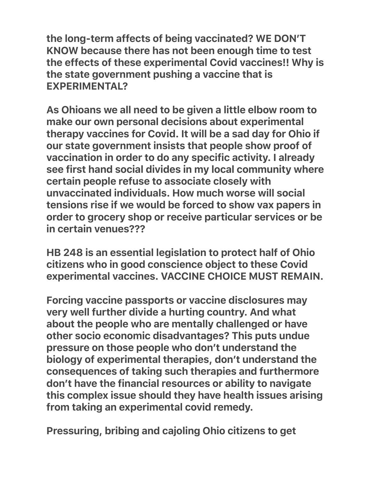the long-term affects of being vaccinated? WE DON'T KNOW because there has not been enough time to test the effects of these experimental Covid vaccines!! Why is the state government pushing a vaccine that is EXPERIMENTAL?

As Ohioans we all need to be given a little elbow room to make our own personal decisions about experimental therapy vaccines for Covid. It will be a sad day for Ohio if our state government insists that people show proof of vaccination in order to do any specific activity. I already see first hand social divides in my local community where certain people refuse to associate closely with unvaccinated individuals. How much worse will social tensions rise if we would be forced to show vax papers in order to grocery shop or receive particular services or be in certain venues???

HB 248 is an essential legislation to protect half of Ohio citizens who in good conscience object to these Covid experimental vaccines. VACCINE CHOICE MUST REMAIN.

Forcing vaccine passports or vaccine disclosures may very well further divide a hurting country. And what about the people who are mentally challenged or have other socio economic disadvantages? This puts undue pressure on those people who don't understand the biology of experimental therapies, don't understand the consequences of taking such therapies and furthermore don't have the financial resources or ability to navigate this complex issue should they have health issues arising from taking an experimental covid remedy.

Pressuring, bribing and cajoling Ohio citizens to get